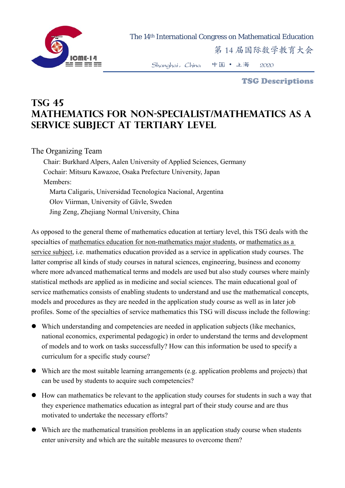

The 14th International Congress on Mathematical Education

第 14 届国际数学教育大会

Shanghai,China 中国 • 上海 2020

TSG Descriptions

## **TSG 45 Mathematics for non-specialist/mathematics as a service subject at tertiary level**

## The Organizing Team

Chair: Burkhard Alpers, Aalen University of Applied Sciences, Germany Cochair: Mitsuru Kawazoe, Osaka Prefecture University, Japan Members: Marta Caligaris, Universidad Tecnologica Nacional, Argentina Olov Viirman, University of Gävle, Sweden Jing Zeng, Zhejiang Normal University, China

As opposed to the general theme of mathematics education at tertiary level, this TSG deals with the specialties of mathematics education for non-mathematics major students, or mathematics as a service subject, i.e. mathematics education provided as a service in application study courses. The latter comprise all kinds of study courses in natural sciences, engineering, business and economy where more advanced mathematical terms and models are used but also study courses where mainly statistical methods are applied as in medicine and social sciences. The main educational goal of service mathematics consists of enabling students to understand and use the mathematical concepts, models and procedures as they are needed in the application study course as well as in later job profiles. Some of the specialties of service mathematics this TSG will discuss include the following:

- Which understanding and competencies are needed in application subjects (like mechanics, national economics, experimental pedagogic) in order to understand the terms and development of models and to work on tasks successfully? How can this information be used to specify a curriculum for a specific study course?
- Which are the most suitable learning arrangements (e.g. application problems and projects) that can be used by students to acquire such competencies?
- How can mathematics be relevant to the application study courses for students in such a way that they experience mathematics education as integral part of their study course and are thus motivated to undertake the necessary efforts?
- Which are the mathematical transition problems in an application study course when students enter university and which are the suitable measures to overcome them?